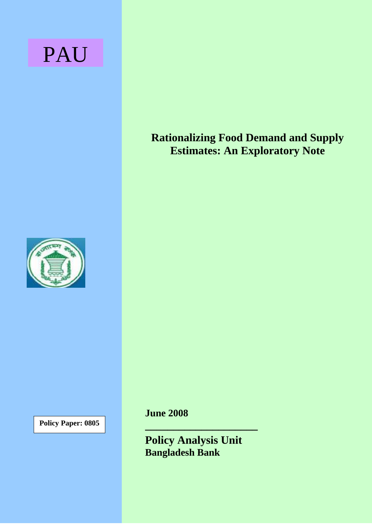# PAU



**Policy Paper: 0805** 

**Rationalizing Food Demand and Supply Estimates: An Exploratory Note**

**June 2008** 

**Policy Analysis Unit Bangladesh Bank** 

**\_\_\_\_\_\_\_\_\_\_\_\_\_\_\_\_\_\_\_\_**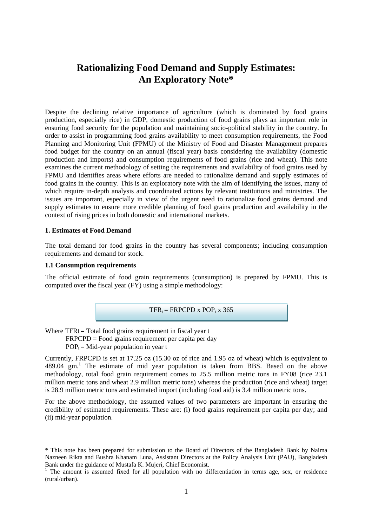# **Rationalizing Food Demand and Supply Estimates: An Exploratory Note\***

Despite the declining relative importance of agriculture (which is dominated by food grains production, especially rice) in GDP, domestic production of food grains plays an important role in ensuring food security for the population and maintaining socio-political stability in the country. In order to assist in programming food grains availability to meet consumption requirements, the Food Planning and Monitoring Unit (FPMU) of the Ministry of Food and Disaster Management prepares food budget for the country on an annual (fiscal year) basis considering the availability (domestic production and imports) and consumption requirements of food grains (rice and wheat). This note examines the current methodology of setting the requirements and availability of food grains used by FPMU and identifies areas where efforts are needed to rationalize demand and supply estimates of food grains in the country. This is an exploratory note with the aim of identifying the issues, many of which require in-depth analysis and coordinated actions by relevant institutions and ministries. The issues are important, especially in view of the urgent need to rationalize food grains demand and supply estimates to ensure more credible planning of food grains production and availability in the context of rising prices in both domestic and international markets.

#### **1. Estimates of Food Demand**

The total demand for food grains in the country has several components; including consumption requirements and demand for stock.

#### **1.1 Consumption requirements**

 $\overline{a}$ 

The official estimate of food grain requirements (consumption) is prepared by FPMU. This is computed over the fiscal year (FY) using a simple methodology:



Where TFRt = Total food grains requirement in fiscal year t FRPCPD = Food grains requirement per capita per day

 $POP<sub>t</sub> = Mid-year population in year t$ 

Currently, FRPCPD is set at 17.25 oz (15.30 oz of rice and 1.95 oz of wheat) which is equivalent to 489.04gm.<sup>1</sup> The estimate of mid year population is taken from BBS. Based on the above methodology, total food grain requirement comes to 25.5 million metric tons in FY08 (rice 23.1 million metric tons and wheat 2.9 million metric tons) whereas the production (rice and wheat) target is 28.9 million metric tons and estimated import (including food aid) is 3.4 million metric tons.

For the above methodology, the assumed values of two parameters are important in ensuring the credibility of estimated requirements. These are: (i) food grains requirement per capita per day; and (ii) mid-year population.

<span id="page-1-0"></span><sup>\*</sup> This note has been prepared for submission to the Board of Directors of the Bangladesh Bank by Naima Nazneen Rikta and Bushra Khanam Luna, Assistant Directors at the Policy Analysis Unit (PAU), Bangladesh Bank under the guidance of Mustafa K. Mujeri, Chief Economist. 1

<sup>&</sup>lt;sup>1</sup> The amount is assumed fixed for all population with no differentiation in terms age, sex, or residence (rural/urban).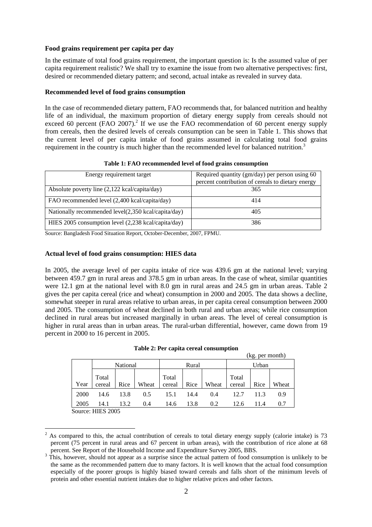#### **Food grains requirement per capita per day**

In the estimate of total food grains requirement, the important question is: Is the assumed value of per capita requirement realistic? We shall try to examine the issue from two alternative perspectives: first, desired or recommended dietary pattern; and second, actual intake as revealed in survey data.

#### **Recommended level of food grains consumption**

In the case of recommended dietary pattern, FAO recommends that, for balanced nutrition and healthy life of an individual, the maximum proportion of dietary energy supply from cereals should not exceed 60 percent (FAO 2007).<sup>2</sup> If we use the FAO recommendation of 60 percent energy supply from cereals, then the desired levels of cereals consumption can be seen in Table 1. This shows that the current level of per capita intake of food grains assumed in calculating total food grains requirement in the country is much higher than the recommended level for balanced nutrition.<sup>3</sup>

| Energy requirement target                                     | Required quantity (gm/day) per person using 60<br>percent contribution of cereals to dietary energy |
|---------------------------------------------------------------|-----------------------------------------------------------------------------------------------------|
| Absolute poverty line (2,122 kcal/capita/day)                 | 365                                                                                                 |
| FAO recommended level (2,400 kcal/capita/day)                 | 414                                                                                                 |
| Nationally recommended $level(2,350 \text{ kcal/capita/day})$ | 405                                                                                                 |
| HIES 2005 consumption level (2,238 kcal/capita/day)           | 386                                                                                                 |

#### **Table 1: FAO recommended level of food grains consumption**

Source: Bangladesh Food Situation Report, October-December, 2007, FPMU.

#### **Actual level of food grains consumption: HIES data**

In 2005, the average level of per capita intake of rice was 439.6 gm at the national level; varying between 459.7 gm in rural areas and 378.5 gm in urban areas. In the case of wheat, similar quantities were 12.1 gm at the national level with 8.0 gm in rural areas and 24.5 gm in urban areas. Table 2 gives the per capita cereal (rice and wheat) consumption in 2000 and 2005. The data shows a decline, somewhat steeper in rural areas relative to urban areas, in per capita cereal consumption between 2000 and 2005. The consumption of wheat declined in both rural and urban areas; while rice consumption declined in rural areas but increased marginally in urban areas. The level of cereal consumption is higher in rural areas than in urban areas. The rural-urban differential, however, came down from 19 percent in 2000 to 16 percent in 2005.

|      | $\sim$                                  |          |       |        |       |       |                 |       |       |
|------|-----------------------------------------|----------|-------|--------|-------|-------|-----------------|-------|-------|
|      |                                         | National |       |        | Rural |       |                 | Urban |       |
|      | Total                                   |          |       | Total  |       |       |                 |       |       |
| Year | cereal                                  | Rice     | Wheat | cereal | Rice  | Wheat | Total<br>cereal | Rice  | Wheat |
| 2000 | 14.6                                    | 13.8     | 0.5   | 15.1   | 14.4  | 0.4   | 12.7            | 11.3  | 0.9   |
| 2005 | 14.1                                    | 13.2     | 0.4   | 14.6   | 13.8  | 0.2   | 12.6            | 11.4  | 0.7   |
|      | $\mathcal{C}_{\text{out}}$ on HIEC 2005 |          |       |        |       |       |                 |       |       |

|  |  |  | Table 2: Per capita cereal consumption |
|--|--|--|----------------------------------------|
|--|--|--|----------------------------------------|

(kg. per month)

Source: HIES 2005

 $\overline{a}$ 

<span id="page-2-0"></span> $2^2$  As compared to this, the actual contribution of cereals to total dietary energy supply (calorie intake) is 73 percent (75 percent in rural areas and 67 percent in urban areas), with the contribution of rice alone at 68 percent. See Report of the Household Income and Expenditure Survey 2005, BBS.

<span id="page-2-1"></span><sup>&</sup>lt;sup>3</sup> This, however, should not appear as a surprise since the actual pattern of food consumption is unlikely to be the same as the recommended pattern due to many factors. It is well known that the actual food consumption especially of the poorer groups is highly biased toward cereals and falls short of the minimum levels of protein and other essential nutrient intakes due to higher relative prices and other factors.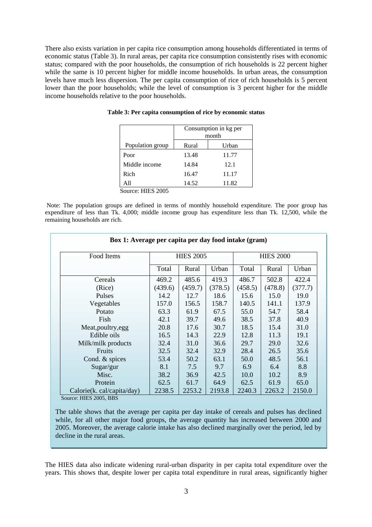There also exists variation in per capita rice consumption among households differentiated in terms of economic status (Table 3). In rural areas, per capita rice consumption consistently rises with economic status; compared with the poor households, the consumption of rich households is 22 percent higher while the same is 10 percent higher for middle income households. In urban areas, the consumption levels have much less dispersion. The per capita consumption of rice of rich households is 5 percent lower than the poor households; while the level of consumption is 3 percent higher for the middle income households relative to the poor households.

|                  | Consumption in kg per<br>month |       |  |
|------------------|--------------------------------|-------|--|
| Population group | Rural                          | Urban |  |
| Poor             | 13.48                          | 11.77 |  |
| Middle income    | 14.84                          | 12.1  |  |
| Rich             | 16.47                          | 11.17 |  |
| All              | 14.52                          | 11.82 |  |

**Table 3: Per capita consumption of rice by economic status** 

Source: HIES 2005

Note: The population groups are defined in terms of monthly household expenditure. The poor group has expenditure of less than Tk. 4,000; middle income group has expenditure less than Tk. 12,500, while the remaining households are rich.

| Box 1: Average per capita per day food intake (gram) |                         |                  |         |                  |         |         |  |  |
|------------------------------------------------------|-------------------------|------------------|---------|------------------|---------|---------|--|--|
| Food Items                                           |                         | <b>HIES 2005</b> |         | <b>HIES 2000</b> |         |         |  |  |
|                                                      | Total<br>Rural<br>Urban |                  |         | Total            | Rural   | Urban   |  |  |
| Cereals                                              | 469.2                   | 485.6            | 419.3   | 486.7            | 502.8   | 422.4   |  |  |
| (Rice)                                               | (439.6)                 | (459.7)          | (378.5) | (458.5)          | (478.8) | (377.7) |  |  |
| Pulses                                               | 14.2                    | 12.7             | 18.6    | 15.6             | 15.0    | 19.0    |  |  |
| Vegetables                                           | 157.0                   | 156.5            | 158.7   | 140.5            | 141.1   | 137.9   |  |  |
| Potato                                               | 63.3                    | 61.9             | 67.5    | 55.0             | 54.7    | 58.4    |  |  |
| Fish                                                 | 42.1                    | 39.7             | 49.6    | 38.5             | 37.8    | 40.9    |  |  |
| Meat, poultry, egg                                   | 20.8                    | 17.6             | 30.7    | 18.5             | 15.4    | 31.0    |  |  |
| Edible oils                                          | 16.5                    | 14.3             | 22.9    | 12.8             | 11.3    | 19.1    |  |  |
| Milk/milk products                                   | 32.4                    | 31.0             | 36.6    | 29.7             | 29.0    | 32.6    |  |  |
| Fruits                                               | 32.5                    | 32.4             | 32.9    | 28.4             | 26.5    | 35.6    |  |  |
| Cond. & spices                                       | 53.4                    | 50.2             | 63.1    | 50.0             | 48.5    | 56.1    |  |  |
| Sugar/gur                                            | 8.1                     | 7.5              | 9.7     | 6.9              | 6.4     | 8.8     |  |  |
| Misc.                                                | 38.2                    | 36.9             | 42.5    | 10.0             | 10.2    | 8.9     |  |  |
| Protein                                              | 62.5                    | 61.7             | 64.9    | 62.5             | 61.9    | 65.0    |  |  |
| Calorie(k. cal/capita/day)                           | 2238.5                  | 2253.2           | 2193.8  | 2240.3           | 2263.2  | 2150.0  |  |  |

Source: HIES 2005, BBS

The table shows that the average per capita per day intake of cereals and pulses has declined while, for all other major food groups, the average quantity has increased between 2000 and 2005. Moreover, the average calorie intake has also declined marginally over the period, led by decline in the rural areas.

The HIES data also indicate widening rural-urban disparity in per capita total expenditure over the years. This shows that, despite lower per capita total expenditure in rural areas, significantly higher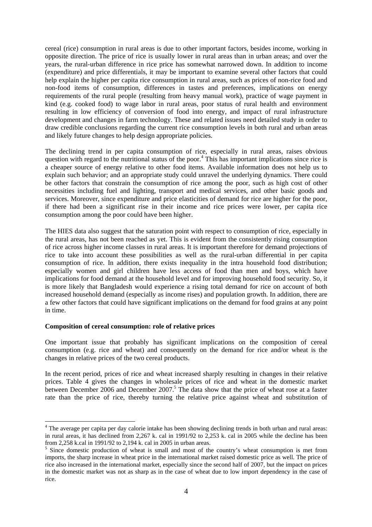cereal (rice) consumption in rural areas is due to other important factors, besides income, working in opposite direction. The price of rice is usually lower in rural areas than in urban areas; and over the years, the rural-urban difference in rice price has somewhat narrowed down. In addition to income (expenditure) and price differentials, it may be important to examine several other factors that could help explain the higher per capita rice consumption in rural areas, such as prices of non-rice food and non-food items of consumption, differences in tastes and preferences, implications on energy requirements of the rural people (resulting from heavy manual work), practice of wage payment in kind (e.g. cooked food) to wage labor in rural areas, poor status of rural health and environment resulting in low efficiency of conversion of food into energy, and impact of rural infrastructure development and changes in farm technology. These and related issues need detailed study in order to draw credible conclusions regarding the current rice consumption levels in both rural and urban areas and likely future changes to help design appropriate policies.

The declining trend in per capita consumption of rice, especially in rural areas, raises obvious questionwith regard to the nutritional status of the poor.<sup>4</sup> This has important implications since rice is a cheaper source of energy relative to other food items. Available information does not help us to explain such behavior; and an appropriate study could unravel the underlying dynamics. There could be other factors that constrain the consumption of rice among the poor, such as high cost of other necessities including fuel and lighting, transport and medical services, and other basic goods and services. Moreover, since expenditure and price elasticities of demand for rice are higher for the poor, if there had been a significant rise in their income and rice prices were lower, per capita rice consumption among the poor could have been higher.

The HIES data also suggest that the saturation point with respect to consumption of rice, especially in the rural areas, has not been reached as yet. This is evident from the consistently rising consumption of rice across higher income classes in rural areas. It is important therefore for demand projections of rice to take into account these possibilities as well as the rural-urban differential in per capita consumption of rice. In addition, there exists inequality in the intra household food distribution; especially women and girl children have less access of food than men and boys, which have implications for food demand at the household level and for improving household food security. So, it is more likely that Bangladesh would experience a rising total demand for rice on account of both increased household demand (especially as income rises) and population growth. In addition, there are a few other factors that could have significant implications on the demand for food grains at any point in time.

#### **Composition of cereal consumption: role of relative prices**

 $\overline{a}$ 

One important issue that probably has significant implications on the composition of cereal consumption (e.g. rice and wheat) and consequently on the demand for rice and/or wheat is the changes in relative prices of the two cereal products.

In the recent period, prices of rice and wheat increased sharply resulting in changes in their relative prices. Table 4 gives the changes in wholesale prices of rice and wheat in the domestic market between December 2006 and December 2007.<sup>5</sup> The data show that the price of wheat rose at a faster rate than the price of rice, thereby turning the relative price against wheat and substitution of

<span id="page-4-0"></span><sup>&</sup>lt;sup>4</sup> The average per capita per day calorie intake has been showing declining trends in both urban and rural areas: in rural areas, it has declined from 2,267 k. cal in 1991/92 to 2,253 k. cal in 2005 while the decline has been from 2,258 k.cal in 1991/92 to 2,194 k. cal in 2005 in urban areas. 5

<span id="page-4-1"></span><sup>&</sup>lt;sup>5</sup> Since domestic production of wheat is small and most of the country's wheat consumption is met from imports, the sharp increase in wheat price in the international market raised domestic price as well. The price of rice also increased in the international market, especially since the second half of 2007, but the impact on prices in the domestic market was not as sharp as in the case of wheat due to low import dependency in the case of rice.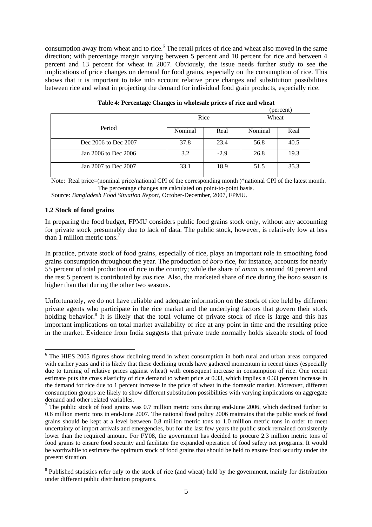consumption away from wheat and to rice.<sup>6</sup> The retail prices of rice and wheat also moved in the same direction; with percentage margin varying between 5 percent and 10 percent for rice and between 4 percent and 13 percent for wheat in 2007. Obviously, the issue needs further study to see the implications of price changes on demand for food grains, especially on the consumption of rice. This shows that it is important to take into account relative price changes and substitution possibilities between rice and wheat in projecting the demand for individual food grain products, especially rice.

|                      |         |        |         | (percent) |
|----------------------|---------|--------|---------|-----------|
|                      |         | Rice   | Wheat   |           |
| Period               | Nominal | Real   | Nominal | Real      |
| Dec 2006 to Dec 2007 | 37.8    | 23.4   | 56.8    | 40.5      |
| Jan 2006 to Dec 2006 | 3.2     | $-2.9$ | 26.8    | 19.3      |
| Jan 2007 to Dec 2007 | 33.1    | 18.9   | 51.5    | 35.3      |

**Table 4: Percentage Changes in wholesale prices of rice and wheat** 

Note: Real price=(nominal price/national CPI of the corresponding month )\*national CPI of the latest month. The percentage changes are calculated on point-to-point basis.

Source: *Bangladesh Food Situation Report,* October-December, 2007, FPMU.

# **1.2 Stock of food grains**

In preparing the food budget, FPMU considers public food grains stock only, without any accounting for private stock presumably due to lack of data. The public stock, however, is relatively low at less than 1 million metric tons.<sup>7</sup>

In practice, private stock of food grains, especially of rice, plays an important role in smoothing food grains consumption throughout the year. The production of *boro* rice, for instance, accounts for nearly 55 percent of total production of rice in the country; while the share of *aman* is around 40 percent and the rest 5 percent is contributed by *aus* rice. Also, the marketed share of rice during the *boro* season is higher than that during the other two seasons.

Unfortunately, we do not have reliable and adequate information on the stock of rice held by different private agents who participate in the rice market and the underlying factors that govern their stock holding behavior.<sup>[8](#page-5-2)</sup> It is likely that the total volume of private stock of rice is large and this has important implications on total market availability of rice at any point in time and the resulting price in the market. Evidence from India suggests that private trade normally holds sizeable stock of food

<span id="page-5-0"></span> <sup>6</sup> The HIES 2005 figures show declining trend in wheat consumption in both rural and urban areas compared with earlier years and it is likely that these declining trends have gathered momentum in recent times (especially due to turning of relative prices against wheat) with consequent increase in consumption of rice. One recent estimate puts the cross elasticity of rice demand to wheat price at 0.33, which implies a 0.33 percent increase in the demand for rice due to 1 percent increase in the price of wheat in the domestic market. Moreover, different consumption groups are likely to show different substitution possibilities with varying implications on aggregate

<span id="page-5-1"></span>demand and other related variables.<br><sup>7</sup> The public stock of food grains was 0.7 million metric tons during end-June 2006, which declined further to 0.6 million metric tons in end-June 2007. The national food policy 2006 maintains that the public stock of food grains should be kept at a level between 0.8 million metric tons to 1.0 million metric tons in order to meet uncertainty of import arrivals and emergencies, but for the last few years the public stock remained consistently lower than the required amount. For FY08, the government has decided to procure 2.3 million metric tons of food grains to ensure food security and facilitate the expanded operation of food safety net programs. It would be worthwhile to estimate the optimum stock of food grains that should be held to ensure food security under the present situation.

<span id="page-5-2"></span><sup>&</sup>lt;sup>8</sup> Published statistics refer only to the stock of rice (and wheat) held by the government, mainly for distribution under different public distribution programs.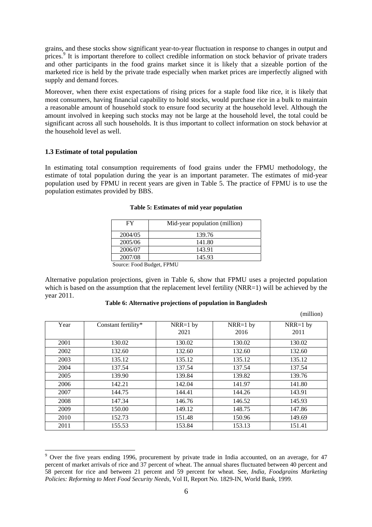grains, and these stocks show significant year-to-year fluctuation in response to changes in output and prices.<sup>[9](#page-6-0)</sup> It is important therefore to collect credible information on stock behavior of private traders and other participants in the food grains market since it is likely that a sizeable portion of the marketed rice is held by the private trade especially when market prices are imperfectly aligned with supply and demand forces.

Moreover, when there exist expectations of rising prices for a staple food like rice, it is likely that most consumers, having financial capability to hold stocks, would purchase rice in a bulk to maintain a reasonable amount of household stock to ensure food security at the household level. Although the amount involved in keeping such stocks may not be large at the household level, the total could be significant across all such households. It is thus important to collect information on stock behavior at the household level as well.

# **1.3 Estimate of total population**

 $\overline{a}$ 

In estimating total consumption requirements of food grains under the FPMU methodology, the estimate of total population during the year is an important parameter. The estimates of mid-year population used by FPMU in recent years are given in Table 5. The practice of FPMU is to use the population estimates provided by BBS.

| FY                         | Mid-year population (million) |
|----------------------------|-------------------------------|
| 2004/05                    | 139.76                        |
| 2005/06                    | 141.80                        |
| 2006/07                    | 143.91                        |
| 2007/08                    | 145.93                        |
| Source: Eood Budget, EPMLI |                               |

#### **Table 5: Estimates of mid year population**

Source: Food Budget, FPMU

Alternative population projections, given in Table 6, show that FPMU uses a projected population which is based on the assumption that the replacement level fertility (NRR=1) will be achieved by the year 2011.

#### **Table 6: Alternative projections of population in Bangladesh**

|      |                     |                    |                    | (million)          |
|------|---------------------|--------------------|--------------------|--------------------|
| Year | Constant fertility* | $NRR=1$ by<br>2021 | $NRR=1$ by<br>2016 | $NRR=1$ by<br>2011 |
| 2001 | 130.02              | 130.02             | 130.02             | 130.02             |
| 2002 | 132.60              | 132.60             | 132.60             | 132.60             |
| 2003 | 135.12              | 135.12             | 135.12             | 135.12             |
| 2004 | 137.54              | 137.54             | 137.54             | 137.54             |
| 2005 | 139.90              | 139.84             | 139.82             | 139.76             |
| 2006 | 142.21              | 142.04             | 141.97             | 141.80             |
| 2007 | 144.75              | 144.41             | 144.26             | 143.91             |
| 2008 | 147.34              | 146.76             | 146.52             | 145.93             |
| 2009 | 150.00              | 149.12             | 148.75             | 147.86             |
| 2010 | 152.73              | 151.48             | 150.96             | 149.69             |
| 2011 | 155.53              | 153.84             | 153.13             | 151.41             |

<span id="page-6-0"></span><sup>&</sup>lt;sup>9</sup> Over the five years ending 1996, procurement by private trade in India accounted, on an average, for 47 percent of market arrivals of rice and 37 percent of wheat. The annual shares fluctuated between 40 percent and 58 percent for rice and between 21 percent and 59 percent for wheat. See, *India, Foodgrains Marketing Policies: Reforming to Meet Food Security Needs,* Vol II, Report No. 1829-IN, World Bank, 1999.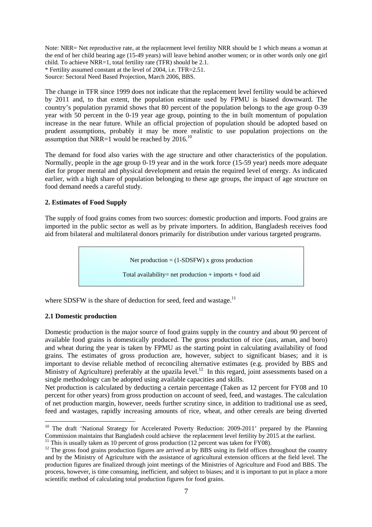Note: NRR= Net reproductive rate, at the replacement level fertility NRR should be 1 which means a woman at the end of her child bearing age (15-49 years) will leave behind another women; or in other words only one girl child. To achieve NRR=1, total fertility rate (TFR) should be 2.1. \* Fertility assumed constant at the level of 2004, i.e. TFR=2.51.

Source: Sectoral Need Based Projection, March 2006, BBS.

The change in TFR since 1999 does not indicate that the replacement level fertility would be achieved by 2011 and, to that extent, the population estimate used by FPMU is biased downward. The country's population pyramid shows that 80 percent of the population belongs to the age group 0-39 year with 50 percent in the 0-19 year age group, pointing to the in built momentum of population increase in the near future. While an official projection of population should be adopted based on prudent assumptions, probably it may be more realistic to use population projections on the assumption that NRR=1 would be reached by  $2016$ .<sup>10</sup>

The demand for food also varies with the age structure and other characteristics of the population. Normally, people in the age group 0-19 year and in the work force (15-59 year) needs more adequate diet for proper mental and physical development and retain the required level of energy. As indicated earlier, with a high share of population belonging to these age groups, the impact of age structure on food demand needs a careful study.

# **2. Estimates of Food Supply**

The supply of food grains comes from two sources: domestic production and imports. Food grains are imported in the public sector as well as by private importers. In addition, Bangladesh receives food aid from bilateral and multilateral donors primarily for distribution under various targeted programs.

Net production  $= (1{\text -}SDSFW)$  x gross production

Total availability= net production  $+$  imports  $+$  food aid

where SDSFW is the share of deduction for seed, feed and wastage.<sup>11</sup>

#### **2.1 Domestic production**

 $\overline{a}$ 

Domestic production is the major source of food grains supply in the country and about 90 percent of available food grains is domestically produced. The gross production of rice (aus, aman, and boro) and wheat during the year is taken by FPMU as the starting point in calculating availability of food grains. The estimates of gross production are, however, subject to significant biases; and it is important to devise reliable method of reconciling alternative estimates (e.g. provided by BBS and Ministry of Agriculture) preferably at the upazila level.<sup>12</sup> In this regard, joint assessments based on a single methodology can be adopted using available capacities and skills.

Net production is calculated by deducting a certain percentage (Taken as 12 percent for FY08 and 10 percent for other years) from gross production on account of seed, feed, and wastages. The calculation of net production margin, however, needs further scrutiny since, in addition to traditional use as seed, feed and wastages, rapidly increasing amounts of rice, wheat, and other cereals are being diverted

<span id="page-7-0"></span><sup>&</sup>lt;sup>10</sup> The draft 'National Strategy for Accelerated Poverty Reduction: 2009-2011' prepared by the Planning Commission maintains that Bangladesh could achieve the replacement level fertility by 2015 at the earliest.<br><sup>11</sup> This is usually taken as 10 percent of gross production (12 percent was taken for FY08).<br><sup>12</sup> The gross food

<span id="page-7-1"></span>

<span id="page-7-2"></span>and by the Ministry of Agriculture with the assistance of agricultural extension officers at the field level. The production figures are finalized through joint meetings of the Ministries of Agriculture and Food and BBS. The process, however, is time consuming, inefficient, and subject to biases; and it is important to put in place a more scientific method of calculating total production figures for food grains.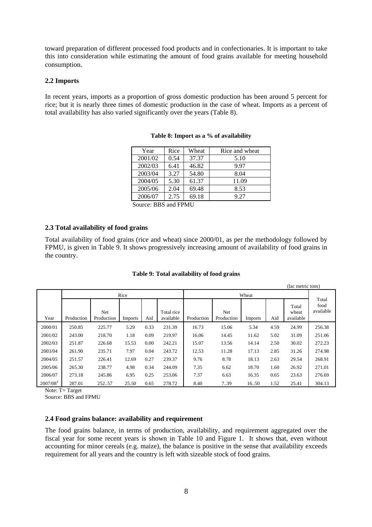toward preparation of different processed food products and in confectionaries. It is important to take this into consideration while estimating the amount of food grains available for meeting household consumption.

#### **2.2 Imports**

In recent years, imports as a proportion of gross domestic production has been around 5 percent for rice; but it is nearly three times of domestic production in the case of wheat. Imports as a percent of total availability has also varied significantly over the years (Table 8).

| Year    | Rice | Wheat | Rice and wheat |
|---------|------|-------|----------------|
| 2001/02 | 0.54 | 37.37 | 5.10           |
| 2002/03 | 6.41 | 46.82 | 9.97           |
| 2003/04 | 3.27 | 54.80 | 8.04           |
| 2004/05 | 5.30 | 61.37 | 11.09          |
| 2005/06 | 2.04 | 69.48 | 8.53           |
| 2006/07 | 2.75 | 69.18 | 9.27           |

**Table 8: Import as a % of availability**

Source: BBS and FPMU

# **2.3 Total availability of food grains**

Total availability of food grains (rice and wheat) since 2000/01, as per the methodology followed by FPMU, is given in Table 9. It shows progressively increasing amount of availability of food grains in the country.

|               | (lac metric tons) |                   |         |      |                         |            |                   |                |      |                             |                            |
|---------------|-------------------|-------------------|---------|------|-------------------------|------------|-------------------|----------------|------|-----------------------------|----------------------------|
|               |                   |                   | Rice    |      |                         | Wheat      |                   |                |      |                             |                            |
| Year          | Production        | Net<br>Production | Imports | Aid  | Total rice<br>available | Production | Net<br>Production | <b>Imports</b> | Aid  | Total<br>wheat<br>available | Total<br>food<br>available |
| 2000/01       | 250.85            | 225.77            | 5.29    | 0.33 | 231.39                  | 16.73      | 15.06             | 5.34           | 4.59 | 24.99                       | 256.38                     |
| 2001/02       | 243.00            | 218.70            | 1.18    | 0.09 | 219.97                  | 16.06      | 14.45             | 11.62          | 5.02 | 31.09                       | 251.06                     |
| 2002/03       | 251.87            | 226.68            | 15.53   | 0.00 | 242.21                  | 15.07      | 13.56             | 14.14          | 2.50 | 30.02                       | 272.23                     |
| 2003/04       | 261.90            | 235.71            | 7.97    | 0.04 | 243.72                  | 12.53      | 11.28             | 17.13          | 2.85 | 31.26                       | 274.98                     |
| 2004/05       | 251.57            | 226.41            | 12.69   | 0.27 | 239.37                  | 9.76       | 8.78              | 18.13          | 2.63 | 29.54                       | 268.91                     |
| 2005/06       | 265.30            | 238.77            | 4.98    | 0.34 | 244.09                  | 7.35       | 6.62              | 18.70          | 1.60 | 26.92                       | 271.01                     |
| 2006/07       | 273.18            | 245.86            | 6.95    | 0.25 | 253.06                  | 7.37       | 6.63              | 16.35          | 0.65 | 23.63                       | 276.69                     |
| $2007/08^{T}$ | 287.01            | 25257             | 25.50   | 0.65 | 278.72                  | 8.40       | 7.39              | 16.50          | 1.52 | 25.41                       | 304.13                     |

#### **Table 9: Total availability of food grains**

Note: T= Target

Source: BBS and FPMU

#### **2.4 Food grains balance: availability and requirement**

The food grains balance, in terms of production, availability, and requirement aggregated over the fiscal year for some recent years is shown in Table 10 and Figure 1. It shows that, even without accounting for minor cereals (e.g. maize), the balance is positive in the sense that availability exceeds requirement for all years and the country is left with sizeable stock of food grains.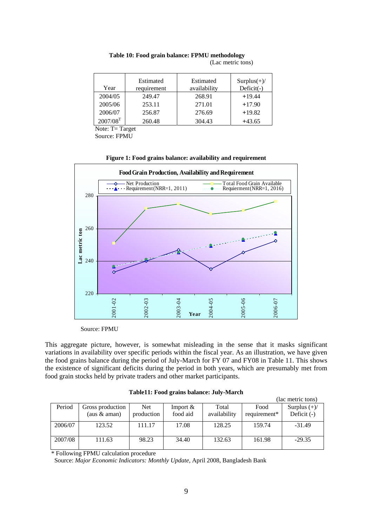| Year                   | Estimated<br>requirement | Estimated<br>availability | $Surplus(+)/$<br>$Deficit(-)$ |
|------------------------|--------------------------|---------------------------|-------------------------------|
| 2004/05                | 249.47                   | 268.91                    | $+19.44$                      |
| 2005/06                | 253.11                   | 271.01                    | $+17.90$                      |
| 2006/07                | 256.87                   | 276.69                    | $+19.82$                      |
| $2007/08$ <sup>T</sup> | 260.48                   | 304.43                    | $+43.65$                      |

 **Table 10: Food grain balance: FPMU methodology**  (Lac metric tons)

Note: T= Target

Source: FPMU

**Figure 1: Food grains balance: availability and requirement** 



Source: FPMU

This aggregate picture, however, is somewhat misleading in the sense that it masks significant variations in availability over specific periods within the fiscal year. As an illustration, we have given the food grains balance during the period of July-March for FY 07 and FY08 in Table 11. This shows the existence of significant deficits during the period in both years, which are presumably met from food grain stocks held by private traders and other market participants.

| Table11: Food grains balance: July-March |  |  |  |
|------------------------------------------|--|--|--|
|------------------------------------------|--|--|--|

|         |                  |            |             |              | (lac metric tons) |                |  |
|---------|------------------|------------|-------------|--------------|-------------------|----------------|--|
| Period  | Gross production | Net.       | Import $\&$ | Total        | Food              | Surplus $(+)/$ |  |
|         | (aus $&$ aman)   | production | food aid    | availability | requirement*      | Deficit $(-)$  |  |
| 2006/07 | 123.52           | 111.17     | 17.08       | 128.25       | 159.74            | $-31.49$       |  |
| 2007/08 | 111.63           | 98.23      | 34.40       | 132.63       | 161.98            | $-29.35$       |  |

\* Following FPMU calculation procedure

Source: *Major Economic Indicators: Monthly Update*, April 2008, Bangladesh Bank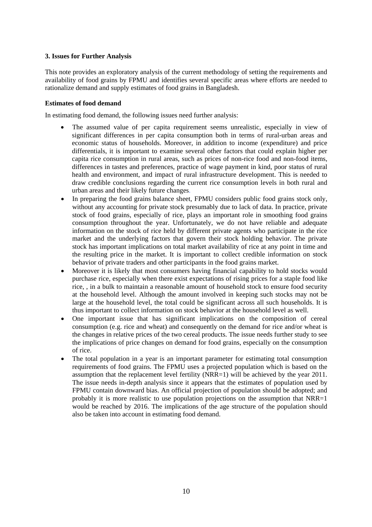# **3. Issues for Further Analysis**

This note provides an exploratory analysis of the current methodology of setting the requirements and availability of food grains by FPMU and identifies several specific areas where efforts are needed to rationalize demand and supply estimates of food grains in Bangladesh.

# **Estimates of food demand**

In estimating food demand, the following issues need further analysis:

- The assumed value of per capita requirement seems unrealistic, especially in view of significant differences in per capita consumption both in terms of rural-urban areas and economic status of households. Moreover, in addition to income (expenditure) and price differentials, it is important to examine several other factors that could explain higher per capita rice consumption in rural areas, such as prices of non-rice food and non-food items, differences in tastes and preferences, practice of wage payment in kind, poor status of rural health and environment, and impact of rural infrastructure development. This is needed to draw credible conclusions regarding the current rice consumption levels in both rural and urban areas and their likely future changes.
- In preparing the food grains balance sheet, FPMU considers public food grains stock only, without any accounting for private stock presumably due to lack of data. In practice, private stock of food grains, especially of rice, plays an important role in smoothing food grains consumption throughout the year. Unfortunately, we do not have reliable and adequate information on the stock of rice held by different private agents who participate in the rice market and the underlying factors that govern their stock holding behavior. The private stock has important implications on total market availability of rice at any point in time and the resulting price in the market. It is important to collect credible information on stock behavior of private traders and other participants in the food grains market.
- Moreover it is likely that most consumers having financial capability to hold stocks would purchase rice, especially when there exist expectations of rising prices for a staple food like rice, , in a bulk to maintain a reasonable amount of household stock to ensure food security at the household level. Although the amount involved in keeping such stocks may not be large at the household level, the total could be significant across all such households. It is thus important to collect information on stock behavior at the household level as well.
- One important issue that has significant implications on the composition of cereal consumption (e.g. rice and wheat) and consequently on the demand for rice and/or wheat is the changes in relative prices of the two cereal products. The issue needs further study to see the implications of price changes on demand for food grains, especially on the consumption of rice.
- The total population in a year is an important parameter for estimating total consumption requirements of food grains. The FPMU uses a projected population which is based on the assumption that the replacement level fertility (NRR=1) will be achieved by the year 2011. The issue needs in-depth analysis since it appears that the estimates of population used by FPMU contain downward bias. An official projection of population should be adopted; and probably it is more realistic to use population projections on the assumption that NRR=1 would be reached by 2016. The implications of the age structure of the population should also be taken into account in estimating food demand.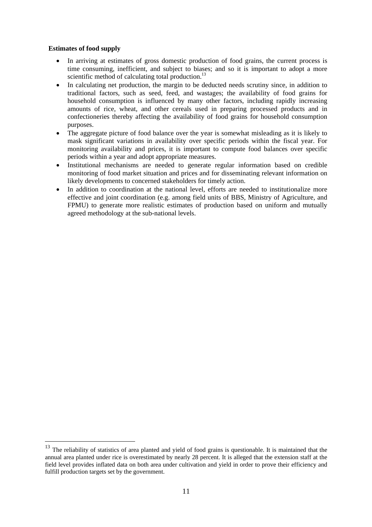# **Estimates of food supply**

 $\overline{a}$ 

- In arriving at estimates of gross domestic production of food grains, the current process is time consuming, inefficient, and subject to biases; and so it is important to adopt a more scientific method of calculating total production.<sup>13</sup>
- In calculating net production, the margin to be deducted needs scrutiny since, in addition to traditional factors, such as seed, feed, and wastages; the availability of food grains for household consumption is influenced by many other factors, including rapidly increasing amounts of rice, wheat, and other cereals used in preparing processed products and in confectioneries thereby affecting the availability of food grains for household consumption purposes.
- The aggregate picture of food balance over the year is somewhat misleading as it is likely to mask significant variations in availability over specific periods within the fiscal year. For monitoring availability and prices, it is important to compute food balances over specific periods within a year and adopt appropriate measures.
- Institutional mechanisms are needed to generate regular information based on credible monitoring of food market situation and prices and for disseminating relevant information on likely developments to concerned stakeholders for timely action.
- In addition to coordination at the national level, efforts are needed to institutionalize more effective and joint coordination (e.g. among field units of BBS, Ministry of Agriculture, and FPMU) to generate more realistic estimates of production based on uniform and mutually agreed methodology at the sub-national levels.

<span id="page-11-0"></span><sup>&</sup>lt;sup>13</sup> The reliability of statistics of area planted and yield of food grains is questionable. It is maintained that the annual area planted under rice is overestimated by nearly 28 percent. It is alleged that the extension staff at the field level provides inflated data on both area under cultivation and yield in order to prove their efficiency and fulfill production targets set by the government.